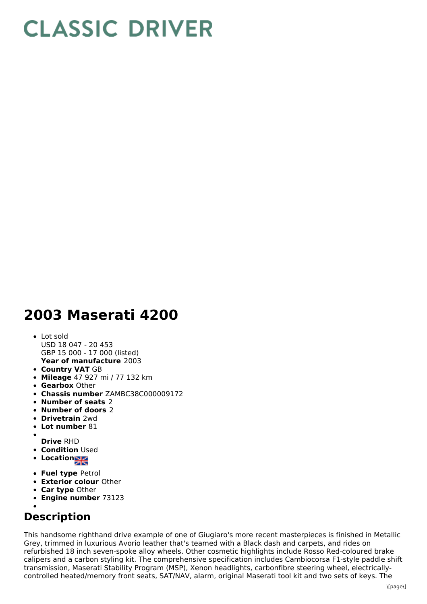## **CLASSIC DRIVER**

## **2003 Maserati 4200**

- **Year of manufacture** 2003 Lot sold USD 18 047 - 20 453 GBP 15 000 - 17 000 (listed)
- **Country VAT** GB
- **Mileage** 47 927 mi / 77 132 km
- **Gearbox** Other
- **Chassis number** ZAMBC38C000009172
- **Number of seats** 2
- **Number of doors** 2
- **Drivetrain** 2wd
- **Lot number** 81
- 
- **Drive** RHD **• Condition Used**
- Location<sub>al</sub>
- **Fuel type** Petrol
- **Exterior colour** Other
- **Car type** Other
- **Engine number** 73123
- 

## **Description**

This handsome righthand drive example of one of Giugiaro's more recent masterpieces is finished in Metallic Grey, trimmed in luxurious Avorio leather that's teamed with a Black dash and carpets, and rides on refurbished 18 inch seven-spoke alloy wheels. Other cosmetic highlights include Rosso Red-coloured brake calipers and a carbon styling kit. The comprehensive specification includes Cambiocorsa F1-style paddle shift transmission, Maserati Stability Program (MSP), Xenon headlights, carbonfibre steering wheel, electricallycontrolled heated/memory front seats, SAT/NAV, alarm, original Maserati tool kit and two sets of keys. The